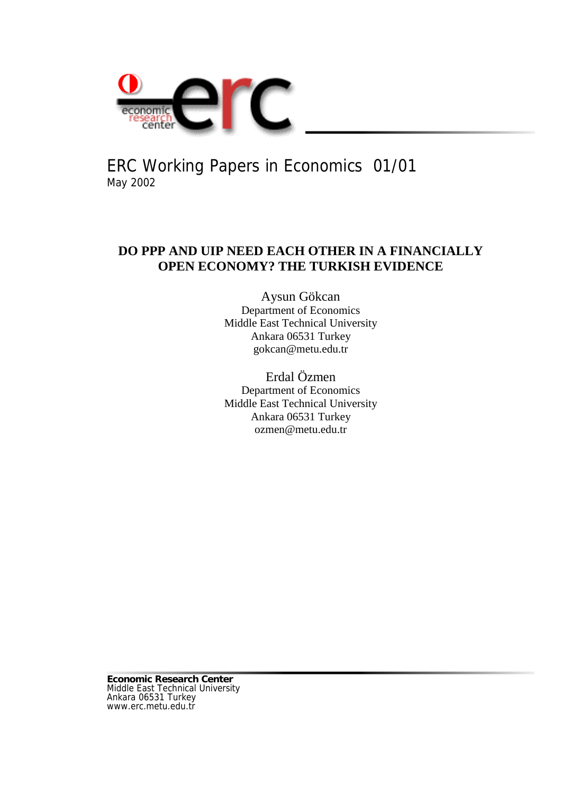

ERC Working Papers in Economics 01/01 May 2002

# **DO PPP AND UIP NEED EACH OTHER IN A FINANCIALLY OPEN ECONOMY? THE TURKISH EVIDENCE**

Aysun Gökcan Department of Economics Middle East Technical University Ankara 06531 Turkey gokcan@metu.edu.tr

Erdal Özmen Department of Economics Middle East Technical University Ankara 06531 Turkey ozmen@metu.edu.tr

**Economic Research Center** Middle East Technical University Ankara 06531 Turkey www.erc.metu.edu.tr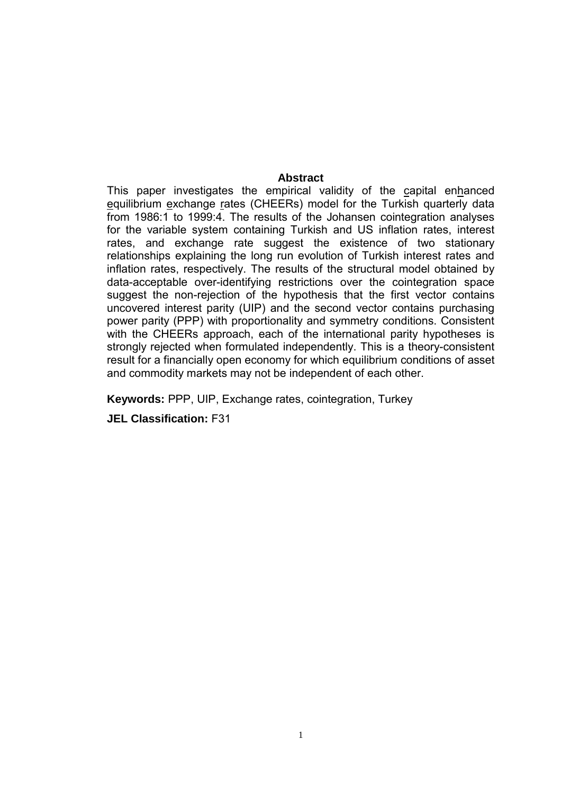#### **Abstract**

This paper investigates the empirical validity of the capital enhanced equilibrium exchange rates (CHEERs) model for the Turkish quarterly data from 1986:1 to 1999:4. The results of the Johansen cointegration analyses for the variable system containing Turkish and US inflation rates, interest rates, and exchange rate suggest the existence of two stationary relationships explaining the long run evolution of Turkish interest rates and inflation rates, respectively. The results of the structural model obtained by data-acceptable over-identifying restrictions over the cointegration space suggest the non-rejection of the hypothesis that the first vector contains uncovered interest parity (UIP) and the second vector contains purchasing power parity (PPP) with proportionality and symmetry conditions. Consistent with the CHEERs approach, each of the international parity hypotheses is strongly rejected when formulated independently. This is a theory-consistent result for a financially open economy for which equilibrium conditions of asset and commodity markets may not be independent of each other.

**Keywords:** PPP, UIP, Exchange rates, cointegration, Turkey

**JEL Classification:** F31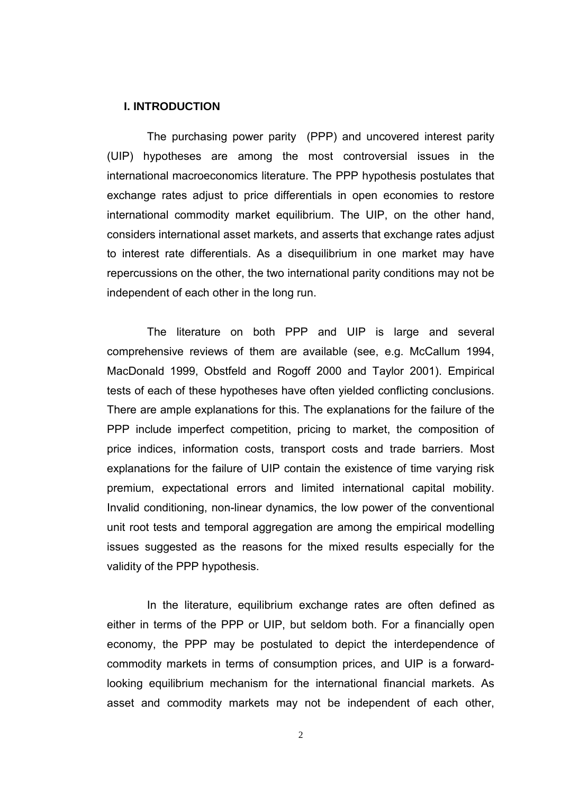#### **I. INTRODUCTION**

The purchasing power parity (PPP) and uncovered interest parity (UIP) hypotheses are among the most controversial issues in the international macroeconomics literature. The PPP hypothesis postulates that exchange rates adjust to price differentials in open economies to restore international commodity market equilibrium. The UIP, on the other hand, considers international asset markets, and asserts that exchange rates adjust to interest rate differentials. As a disequilibrium in one market may have repercussions on the other, the two international parity conditions may not be independent of each other in the long run.

The literature on both PPP and UIP is large and several comprehensive reviews of them are available (see, e.g. McCallum 1994, MacDonald 1999, Obstfeld and Rogoff 2000 and Taylor 2001). Empirical tests of each of these hypotheses have often yielded conflicting conclusions. There are ample explanations for this. The explanations for the failure of the PPP include imperfect competition, pricing to market, the composition of price indices, information costs, transport costs and trade barriers. Most explanations for the failure of UIP contain the existence of time varying risk premium, expectational errors and limited international capital mobility. Invalid conditioning, non-linear dynamics, the low power of the conventional unit root tests and temporal aggregation are among the empirical modelling issues suggested as the reasons for the mixed results especially for the validity of the PPP hypothesis.

In the literature, equilibrium exchange rates are often defined as either in terms of the PPP or UIP, but seldom both. For a financially open economy, the PPP may be postulated to depict the interdependence of commodity markets in terms of consumption prices, and UIP is a forwardlooking equilibrium mechanism for the international financial markets. As asset and commodity markets may not be independent of each other,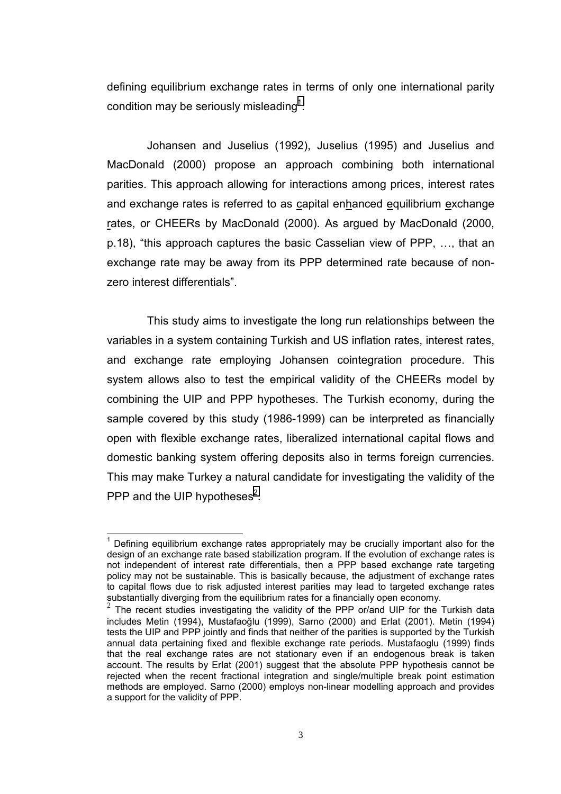defining equilibrium exchange rates in terms of only one international parity condition may be seriously misleading $^1$ .

Johansen and Juselius (1992), Juselius (1995) and Juselius and MacDonald (2000) propose an approach combining both international parities. This approach allowing for interactions among prices, interest rates and exchange rates is referred to as capital enhanced equilibrium exchange rates, or CHEERs by MacDonald (2000). As argued by MacDonald (2000, p.18), "this approach captures the basic Casselian view of PPP, …, that an exchange rate may be away from its PPP determined rate because of nonzero interest differentials".

This study aims to investigate the long run relationships between the variables in a system containing Turkish and US inflation rates, interest rates, and exchange rate employing Johansen cointegration procedure. This system allows also to test the empirical validity of the CHEERs model by combining the UIP and PPP hypotheses. The Turkish economy, during the sample covered by this study (1986-1999) can be interpreted as financially open with flexible exchange rates, liberalized international capital flows and domestic banking system offering deposits also in terms foreign currencies. This may make Turkey a natural candidate for investigating the validity of the PPP and the UIP hypotheses $^2$ .

l  $1$  Defining equilibrium exchange rates appropriately may be crucially important also for the design of an exchange rate based stabilization program. If the evolution of exchange rates is not independent of interest rate differentials, then a PPP based exchange rate targeting policy may not be sustainable. This is basically because, the adjustment of exchange rates to capital flows due to risk adjusted interest parities may lead to targeted exchange rates substantially diverging from the equilibrium rates for a financially open economy.

 $2$  The recent studies investigating the validity of the PPP or/and UIP for the Turkish data includes Metin (1994), Mustafaoğlu (1999), Sarno (2000) and Erlat (2001). Metin (1994) tests the UIP and PPP jointly and finds that neither of the parities is supported by the Turkish annual data pertaining fixed and flexible exchange rate periods. Mustafaoglu (1999) finds that the real exchange rates are not stationary even if an endogenous break is taken account. The results by Erlat (2001) suggest that the absolute PPP hypothesis cannot be rejected when the recent fractional integration and single/multiple break point estimation methods are employed. Sarno (2000) employs non-linear modelling approach and provides a support for the validity of PPP.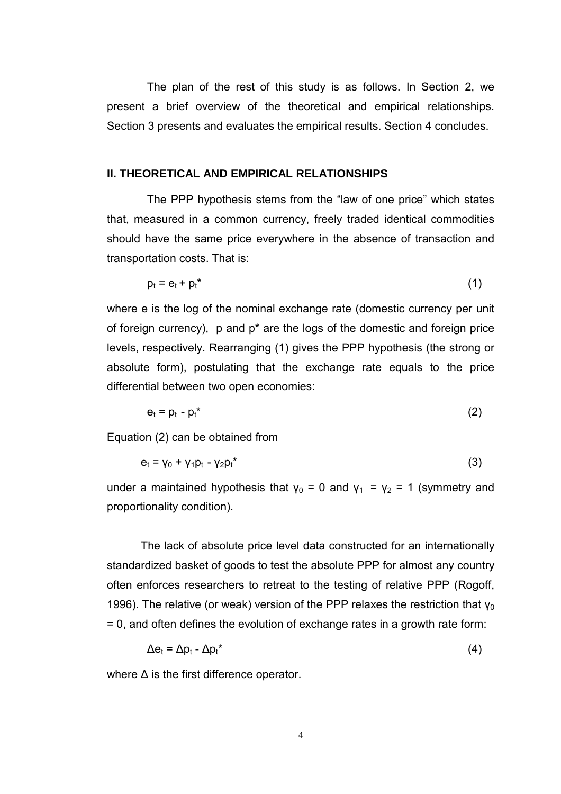The plan of the rest of this study is as follows. In Section 2, we present a brief overview of the theoretical and empirical relationships. Section 3 presents and evaluates the empirical results. Section 4 concludes.

#### **II. THEORETICAL AND EMPIRICAL RELATIONSHIPS**

The PPP hypothesis stems from the "law of one price" which states that, measured in a common currency, freely traded identical commodities should have the same price everywhere in the absence of transaction and transportation costs. That is:

$$
p_t = e_t + p_t^* \tag{1}
$$

where e is the log of the nominal exchange rate (domestic currency per unit of foreign currency), p and p\* are the logs of the domestic and foreign price levels, respectively. Rearranging (1) gives the PPP hypothesis (the strong or absolute form), postulating that the exchange rate equals to the price differential between two open economies:

$$
e_t = p_t - p_t^* \tag{2}
$$

Equation (2) can be obtained from

$$
\mathbf{e}_{t} = \mathbf{v}_{0} + \mathbf{v}_{1}\mathbf{p}_{t} - \mathbf{v}_{2}\mathbf{p}_{t}^{*}
$$
 (3)

under a maintained hypothesis that  $y_0 = 0$  and  $y_1 = y_2 = 1$  (symmetry and proportionality condition).

The lack of absolute price level data constructed for an internationally standardized basket of goods to test the absolute PPP for almost any country often enforces researchers to retreat to the testing of relative PPP (Rogoff, 1996). The relative (or weak) version of the PPP relaxes the restriction that  $y_0$ = 0, and often defines the evolution of exchange rates in a growth rate form:

$$
\Delta e_t = \Delta p_t - \Delta p_t^* \tag{4}
$$

where  $\Delta$  is the first difference operator.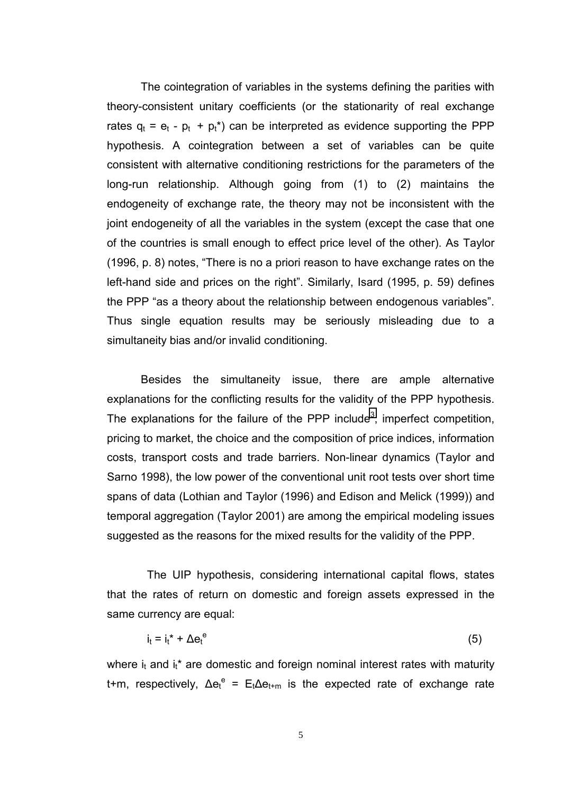The cointegration of variables in the systems defining the parities with theory-consistent unitary coefficients (or the stationarity of real exchange rates  $q_t = e_t - p_t + p_t^*$  can be interpreted as evidence supporting the PPP hypothesis. A cointegration between a set of variables can be quite consistent with alternative conditioning restrictions for the parameters of the long-run relationship. Although going from (1) to (2) maintains the endogeneity of exchange rate, the theory may not be inconsistent with the joint endogeneity of all the variables in the system (except the case that one of the countries is small enough to effect price level of the other). As Taylor (1996, p. 8) notes, "There is no a priori reason to have exchange rates on the left-hand side and prices on the right". Similarly, Isard (1995, p. 59) defines the PPP "as a theory about the relationship between endogenous variables". Thus single equation results may be seriously misleading due to a simultaneity bias and/or invalid conditioning.

Besides the simultaneity issue, there are ample alternative explanations for the conflicting results for the validity of the PPP hypothesis. The explanations for the failure of the PPP include<sup>3</sup>, imperfect competition, pricing to market, the choice and the composition of price indices, information costs, transport costs and trade barriers. Non-linear dynamics (Taylor and Sarno 1998), the low power of the conventional unit root tests over short time spans of data (Lothian and Taylor (1996) and Edison and Melick (1999)) and temporal aggregation (Taylor 2001) are among the empirical modeling issues suggested as the reasons for the mixed results for the validity of the PPP.

The UIP hypothesis, considering international capital flows, states that the rates of return on domestic and foreign assets expressed in the same currency are equal:

$$
i_t = i_t^* + \Delta e_t^e \tag{5}
$$

where  $i_t$  and  $i_t^*$  are domestic and foreign nominal interest rates with maturity t+m, respectively,  $\Delta e_t^e$  =  $E_t \Delta e_{t+m}$  is the expected rate of exchange rate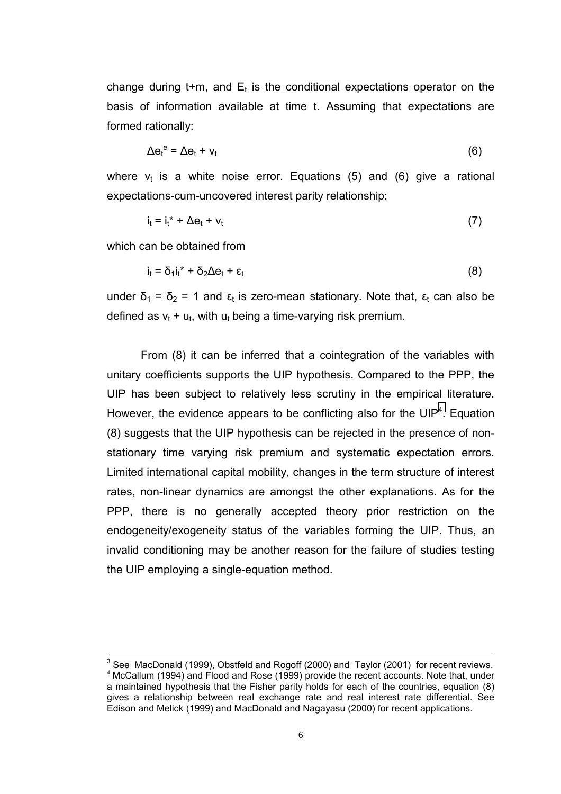change during t+m, and  $E_t$  is the conditional expectations operator on the basis of information available at time t. Assuming that expectations are formed rationally:

$$
\Delta e_t^e = \Delta e_t + v_t \tag{6}
$$

where  $v_t$  is a white noise error. Equations (5) and (6) give a rational expectations-cum-uncovered interest parity relationship:

$$
i_t = i_t^* + \Delta e_t + v_t \tag{7}
$$

which can be obtained from

$$
i_t = \delta_1 i_t^* + \delta_2 \Delta e_t + \epsilon_t \tag{8}
$$

under  $\delta_1 = \delta_2 = 1$  and  $\epsilon_t$  is zero-mean stationary. Note that,  $\epsilon_t$  can also be defined as  $v_t + u_t$ , with  $u_t$  being a time-varying risk premium.

From (8) it can be inferred that a cointegration of the variables with unitary coefficients supports the UIP hypothesis. Compared to the PPP, the UIP has been subject to relatively less scrutiny in the empirical literature. However, the evidence appears to be conflicting also for the UIP<sup>4</sup>. Equation (8) suggests that the UIP hypothesis can be rejected in the presence of nonstationary time varying risk premium and systematic expectation errors. Limited international capital mobility, changes in the term structure of interest rates, non-linear dynamics are amongst the other explanations. As for the PPP, there is no generally accepted theory prior restriction on the endogeneity/exogeneity status of the variables forming the UIP. Thus, an invalid conditioning may be another reason for the failure of studies testing the UIP employing a single-equation method.

 $3$  See MacDonald (1999), Obstfeld and Rogoff (2000) and Taylor (2001) for recent reviews.  $4$  McCallum (1994) and Flood and Rose (1999) provide the recent accounts. Note that, under a maintained hypothesis that the Fisher parity holds for each of the countries, equation (8) gives a relationship between real exchange rate and real interest rate differential. See Edison and Melick (1999) and MacDonald and Nagayasu (2000) for recent applications.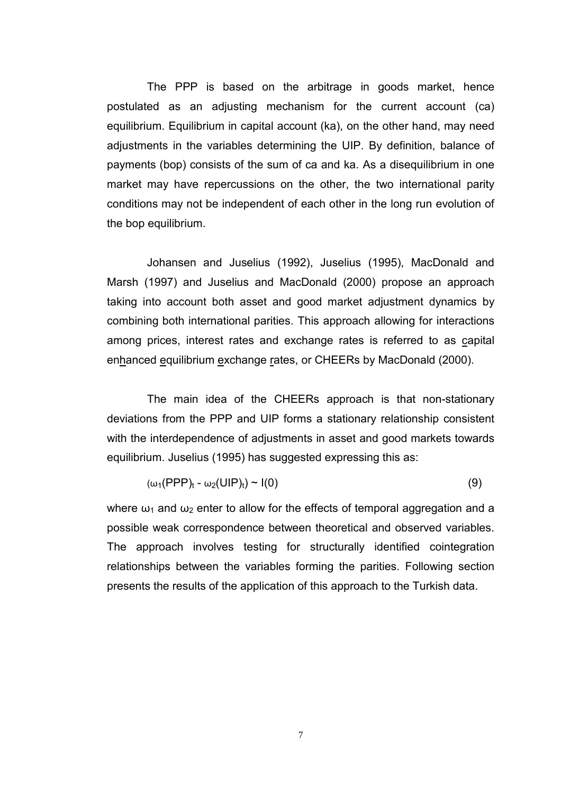The PPP is based on the arbitrage in goods market, hence postulated as an adjusting mechanism for the current account (ca) equilibrium. Equilibrium in capital account (ka), on the other hand, may need adjustments in the variables determining the UIP. By definition, balance of payments (bop) consists of the sum of ca and ka. As a disequilibrium in one market may have repercussions on the other, the two international parity conditions may not be independent of each other in the long run evolution of the bop equilibrium.

Johansen and Juselius (1992), Juselius (1995), MacDonald and Marsh (1997) and Juselius and MacDonald (2000) propose an approach taking into account both asset and good market adjustment dynamics by combining both international parities. This approach allowing for interactions among prices, interest rates and exchange rates is referred to as capital enhanced equilibrium exchange rates, or CHEERs by MacDonald (2000).

The main idea of the CHEERs approach is that non-stationary deviations from the PPP and UIP forms a stationary relationship consistent with the interdependence of adjustments in asset and good markets towards equilibrium. Juselius (1995) has suggested expressing this as:

$$
(\omega_1(\text{PPP})_t - \omega_2(\text{UIP})_t) \sim I(0) \tag{9}
$$

where  $\omega_1$  and  $\omega_2$  enter to allow for the effects of temporal aggregation and a possible weak correspondence between theoretical and observed variables. The approach involves testing for structurally identified cointegration relationships between the variables forming the parities. Following section presents the results of the application of this approach to the Turkish data.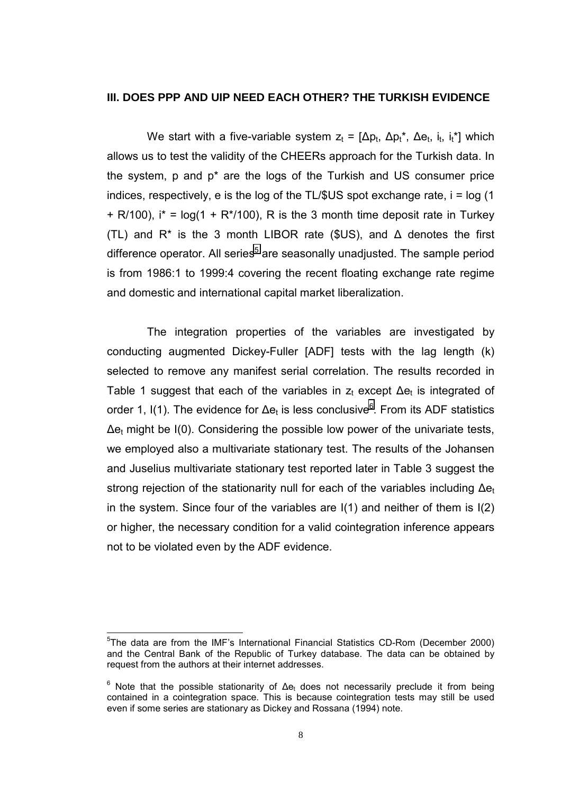#### **III. DOES PPP AND UIP NEED EACH OTHER? THE TURKISH EVIDENCE**

We start with a five-variable system  $z_t = [\Delta p_t, \Delta p_t^*, \Delta e_t, i_t, i_t^*]$  which allows us to test the validity of the CHEERs approach for the Turkish data. In the system, p and p\* are the logs of the Turkish and US consumer price indices, respectively, e is the log of the  $TL/$US$  spot exchange rate,  $i = log(1$  $+$  R/100),  $i^*$  = log(1 + R<sup>\*</sup>/100), R is the 3 month time deposit rate in Turkey (TL) and  $R^*$  is the 3 month LIBOR rate (\$US), and  $\Delta$  denotes the first difference operator. All series<sup>5</sup> are seasonally unadjusted. The sample period is from 1986:1 to 1999:4 covering the recent floating exchange rate regime and domestic and international capital market liberalization.

The integration properties of the variables are investigated by conducting augmented Dickey-Fuller [ADF] tests with the lag length (k) selected to remove any manifest serial correlation. The results recorded in Table 1 suggest that each of the variables in  $z_t$  except  $\Delta e_t$  is integrated of order 1, I(1). The evidence for Δe<sub>t</sub> is less conclusive<sup>6</sup>. From its ADF statistics  $\Delta$ e<sub>t</sub> might be I(0). Considering the possible low power of the univariate tests, we employed also a multivariate stationary test. The results of the Johansen and Juselius multivariate stationary test reported later in Table 3 suggest the strong rejection of the stationarity null for each of the variables including  $\Delta e_t$ in the system. Since four of the variables are I(1) and neither of them is I(2) or higher, the necessary condition for a valid cointegration inference appears not to be violated even by the ADF evidence.

l

<sup>&</sup>lt;sup>5</sup>The data are from the IMF's International Financial Statistics CD-Rom (December 2000) and the Central Bank of the Republic of Turkey database. The data can be obtained by request from the authors at their internet addresses.

 $<sup>6</sup>$  Note that the possible stationarity of  $\Delta$ e<sub>t</sub> does not necessarily preclude it from being</sup> contained in a cointegration space. This is because cointegration tests may still be used even if some series are stationary as Dickey and Rossana (1994) note.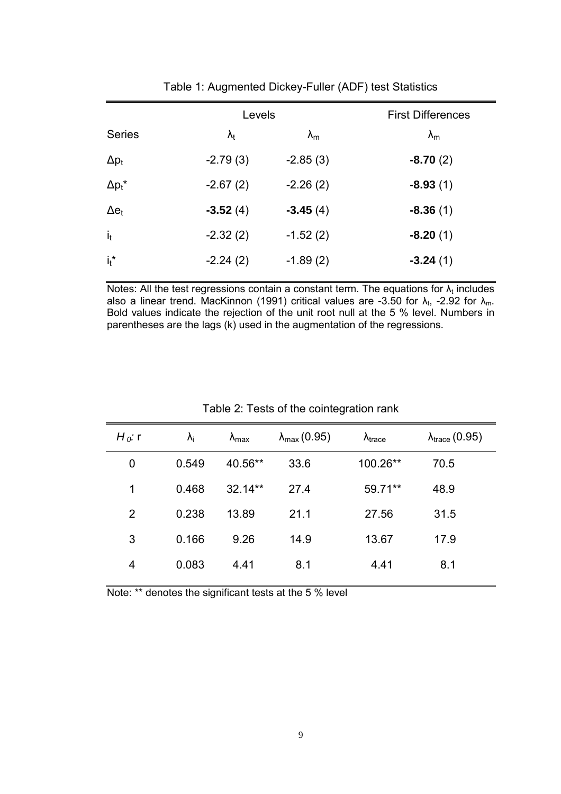|                | Levels            |                   | <b>First Differences</b> |
|----------------|-------------------|-------------------|--------------------------|
| <b>Series</b>  | $\lambda_{\rm t}$ | $\lambda_{\rm m}$ | $\lambda_{\rm m}$        |
| $\Delta p_t$   | $-2.79(3)$        | $-2.85(3)$        | $-8.70(2)$               |
| $\Delta p_t^*$ | $-2.67(2)$        | $-2.26(2)$        | $-8.93(1)$               |
| $\Delta e_t$   | $-3.52(4)$        | $-3.45(4)$        | $-8.36(1)$               |
| i <sub>t</sub> | $-2.32(2)$        | $-1.52(2)$        | $-8.20(1)$               |
| $i_t$ *        | $-2.24(2)$        | $-1.89(2)$        | $-3.24(1)$               |
|                |                   |                   |                          |

Table 1: Augmented Dickey-Fuller (ADF) test Statistics

Notes: All the test regressions contain a constant term. The equations for  $\lambda_t$  includes also a linear trend. MacKinnon (1991) critical values are -3.50 for  $\lambda_{\rm t}$ , -2.92 for  $\lambda_{\rm m}$ . Bold values indicate the rejection of the unit root null at the 5 % level. Numbers in parentheses are the lags (k) used in the augmentation of the regressions.

| $H_0$ : r | $\lambda_i$ | $\lambda_{\text{max}}$ | $\lambda_{\text{max}}(0.95)$ | $\lambda_{\text{trace}}$ | $\lambda_{\text{trace}}(0.95)$ |
|-----------|-------------|------------------------|------------------------------|--------------------------|--------------------------------|
| 0         | 0.549       | 40.56**                | 33.6                         | 100.26**                 | 70.5                           |
| 1         | 0.468       | $32.14**$              | 27.4                         | 59.71**                  | 48.9                           |
| 2         | 0.238       | 13.89                  | 21.1                         | 27.56                    | 31.5                           |
| 3         | 0.166       | 9.26                   | 14.9                         | 13.67                    | 17.9                           |
| 4         | 0.083       | 4.41                   | 8.1                          | 4.41                     | 8.1                            |
|           |             |                        |                              |                          |                                |

### Table 2: Tests of the cointegration rank

Note: \*\* denotes the significant tests at the 5 % level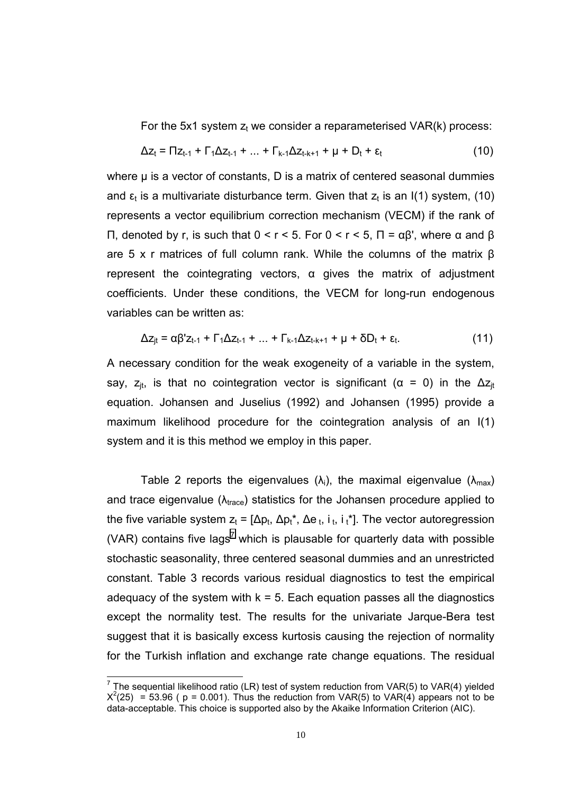For the 5x1 system  $z_t$  we consider a reparameterised VAR(k) process:

$$
\Delta z_{t} = \Pi z_{t-1} + \Gamma_{1} \Delta z_{t-1} + ... + \Gamma_{k-1} \Delta z_{t-k+1} + \mu + D_{t} + \varepsilon_{t}
$$
\n(10)

where μ is a vector of constants, D is a matrix of centered seasonal dummies and  $\varepsilon_t$  is a multivariate disturbance term. Given that  $z_t$  is an I(1) system, (10) represents a vector equilibrium correction mechanism (VECM) if the rank of Π, denoted by r, is such that 0 < r < 5. For 0 < r < 5, Π = αβ', where α and β are 5 x r matrices of full column rank. While the columns of the matrix β represent the cointegrating vectors,  $\alpha$  gives the matrix of adjustment coefficients. Under these conditions, the VECM for long-run endogenous variables can be written as:

$$
\Delta z_{jt} = \alpha \beta' z_{t-1} + \Gamma_1 \Delta z_{t-1} + ... + \Gamma_{k-1} \Delta z_{t-k+1} + \mu + \delta D_t + \varepsilon_t.
$$
 (11)

A necessary condition for the weak exogeneity of a variable in the system, say,  $z_{it}$ , is that no cointegration vector is significant ( $\alpha = 0$ ) in the  $\Delta z_{it}$ equation. Johansen and Juselius (1992) and Johansen (1995) provide a maximum likelihood procedure for the cointegration analysis of an I(1) system and it is this method we employ in this paper.

Table 2 reports the eigenvalues ( $\lambda_i$ ), the maximal eigenvalue ( $\lambda_{max}$ ) and trace eigenvalue ( $\lambda_{\text{trace}}$ ) statistics for the Johansen procedure applied to the five variable system  $z_t = [\Delta p_t, \Delta p_t^*, \Delta e_t, i_t, i_t^*]$ . The vector autoregression (VAR) contains five lags<sup>7</sup> which is plausable for quarterly data with possible stochastic seasonality, three centered seasonal dummies and an unrestricted constant. Table 3 records various residual diagnostics to test the empirical adequacy of the system with  $k = 5$ . Each equation passes all the diagnostics except the normality test. The results for the univariate Jarque-Bera test suggest that it is basically excess kurtosis causing the rejection of normality for the Turkish inflation and exchange rate change equations. The residual

 7 The sequential likelihood ratio (LR) test of system reduction from VAR(5) to VAR(4) yielded  $X^2(25)$  = 53.96 ( p = 0.001). Thus the reduction from VAR(5) to VAR(4) appears not to be data-acceptable. This choice is supported also by the Akaike Information Criterion (AIC).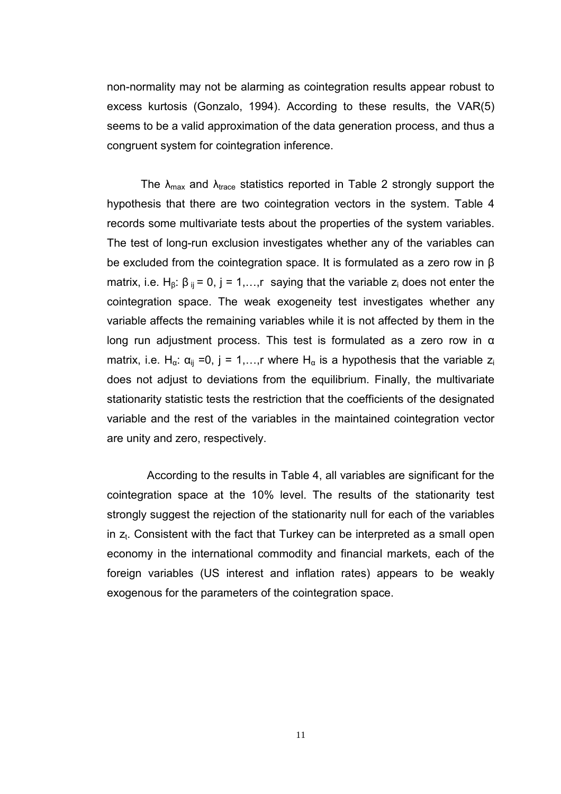non-normality may not be alarming as cointegration results appear robust to excess kurtosis (Gonzalo, 1994). According to these results, the VAR(5) seems to be a valid approximation of the data generation process, and thus a congruent system for cointegration inference.

The  $\lambda_{\text{max}}$  and  $\lambda_{\text{trace}}$  statistics reported in Table 2 strongly support the hypothesis that there are two cointegration vectors in the system. Table 4 records some multivariate tests about the properties of the system variables. The test of long-run exclusion investigates whether any of the variables can be excluded from the cointegration space. It is formulated as a zero row in β matrix, i.e. H<sub>β</sub>:  $\beta_{ij}$  = 0, j = 1,...,r saying that the variable  $z_i$  does not enter the cointegration space. The weak exogeneity test investigates whether any variable affects the remaining variables while it is not affected by them in the long run adjustment process. This test is formulated as a zero row in α matrix, i.e. H<sub>α</sub>:  $\alpha_{ij}$  =0, j = 1,..., r where H<sub>α</sub> is a hypothesis that the variable z<sub>i</sub> does not adjust to deviations from the equilibrium. Finally, the multivariate stationarity statistic tests the restriction that the coefficients of the designated variable and the rest of the variables in the maintained cointegration vector are unity and zero, respectively.

According to the results in Table 4, all variables are significant for the cointegration space at the 10% level. The results of the stationarity test strongly suggest the rejection of the stationarity null for each of the variables in  $z_t$ . Consistent with the fact that Turkey can be interpreted as a small open economy in the international commodity and financial markets, each of the foreign variables (US interest and inflation rates) appears to be weakly exogenous for the parameters of the cointegration space.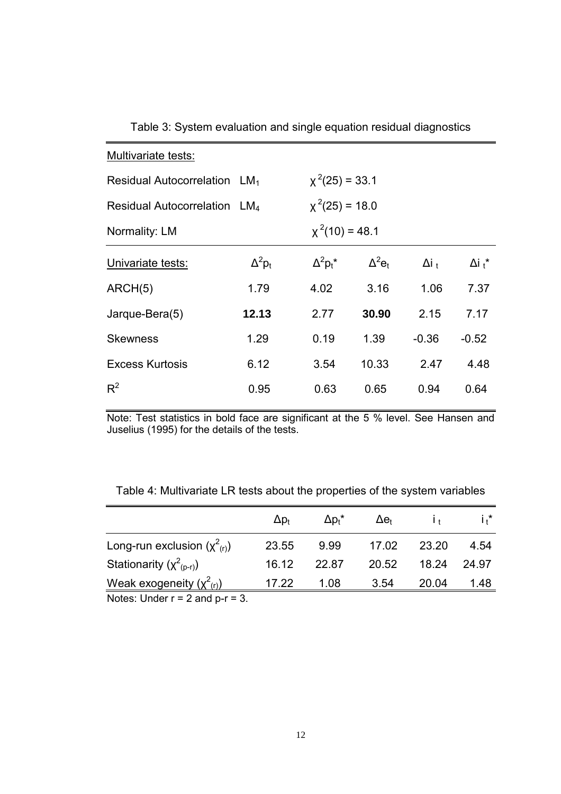| Multivariate tests:                      |                  |                  |                           |                         |                |  |  |  |
|------------------------------------------|------------------|------------------|---------------------------|-------------------------|----------------|--|--|--|
| Residual Autocorrelation LM <sub>1</sub> | $x^2(25) = 33.1$ |                  |                           |                         |                |  |  |  |
| Residual Autocorrelation LM <sub>4</sub> | $x^2(25) = 18.0$ |                  |                           |                         |                |  |  |  |
| Normality: LM                            |                  | $x^2(10) = 48.1$ |                           |                         |                |  |  |  |
| Univariate tests:                        | $\Delta^2 p_t$   | $\Delta^2 p_t^*$ | $\Delta^2$ e <sub>t</sub> | $\Delta i$ <sub>t</sub> | $\Delta i_t^*$ |  |  |  |
| ARCH(5)                                  | 1.79             | 4.02             | 3.16                      | 1.06                    | 7.37           |  |  |  |
| Jarque-Bera(5)                           | 12.13            | 2.77             | 30.90                     | 2.15                    | 7.17           |  |  |  |
| <b>Skewness</b>                          | 1.29             | 0.19             | 1.39                      | $-0.36$                 | $-0.52$        |  |  |  |
| <b>Excess Kurtosis</b>                   | 6.12             | 3.54             | 10.33                     | 2.47                    | 4.48           |  |  |  |
| $R^2$                                    | 0.95             | 0.63             | 0.65                      | 0.94                    | 0.64           |  |  |  |

Table 3: System evaluation and single equation residual diagnostics

Note: Test statistics in bold face are significant at the 5 % level. See Hansen and Juselius (1995) for the details of the tests.

| Table 4: Multivariate LR tests about the properties of the system variables |  |  |
|-----------------------------------------------------------------------------|--|--|
|                                                                             |  |  |

|                                             | $\Delta p_t$ | $\Delta p_t^*$ | $\Delta e_{t}$ |       | i.*   |
|---------------------------------------------|--------------|----------------|----------------|-------|-------|
| Long-run exclusion $(\chi^2_{(r)})$         | 23.55        | 9.99           | 17.02          | 23.20 | 4.54  |
| Stationarity $(\chi^2_{(p-r)})$             | 16.12        | 22.87          | 20.52          | 18.24 | 24.97 |
| Weak exogeneity $(\chi^2_{(r)})$            | 17.22        | 1.08           | 3.54           | 20.04 | 1.48  |
| $Nation$ $l, l, d, r, r - 2$ and $r, r - 2$ |              |                |                |       |       |

Notes: Under  $r = 2$  and  $p-r = 3$ .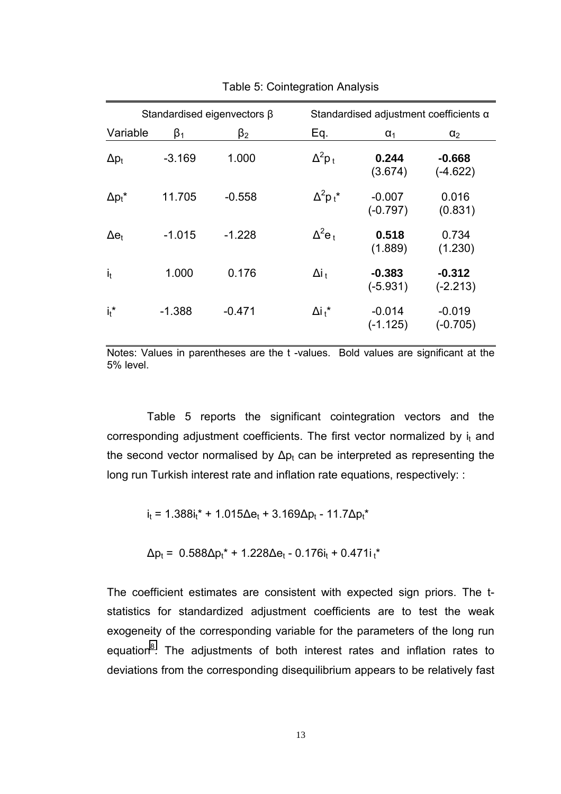| Standardised eigenvectors $\beta$ |           |           |                           | Standardised adjustment coefficients $\alpha$ |                        |  |  |
|-----------------------------------|-----------|-----------|---------------------------|-----------------------------------------------|------------------------|--|--|
| Variable                          | $\beta_1$ | $\beta_2$ | Eq.                       | $\alpha_1$                                    | $\alpha_2$             |  |  |
| $\Delta p_t$                      | $-3.169$  | 1.000     | $\Delta^2 p_t$            | 0.244<br>(3.674)                              | $-0.668$<br>(-4.622)   |  |  |
| $\Delta p_t^*$                    | 11.705    | $-0.558$  | $\Delta^2 p_t^*$          | $-0.007$<br>$(-0.797)$                        | 0.016<br>(0.831)       |  |  |
| $\Delta e_t$                      | $-1.015$  | $-1.228$  | $\Delta^2$ e <sub>t</sub> | 0.518<br>(1.889)                              | 0.734<br>(1.230)       |  |  |
| $i_t$                             | 1.000     | 0.176     | $\Delta i_t$              | $-0.383$<br>$(-5.931)$                        | $-0.312$<br>$(-2.213)$ |  |  |
| $i_t$ *                           | $-1.388$  | $-0.471$  | $\Delta i_t$ *            | $-0.014$<br>$(-1.125)$                        | $-0.019$<br>(-0.705)   |  |  |

Table 5: Cointegration Analysis

Notes: Values in parentheses are the t -values. Bold values are significant at the 5% level.

Table 5 reports the significant cointegration vectors and the corresponding adjustment coefficients. The first vector normalized by  $i_t$  and the second vector normalised by  $\Delta p_t$  can be interpreted as representing the long run Turkish interest rate and inflation rate equations, respectively: :

 $i_t = 1.388i_t^* + 1.015\Delta e_t + 3.169\Delta p_t - 11.7\Delta p_t^*$ 

 $\Delta p_t = 0.588 \Delta p_t^* + 1.228 \Delta e_t - 0.176i_t + 0.471i_t^*$ 

The coefficient estimates are consistent with expected sign priors. The tstatistics for standardized adjustment coefficients are to test the weak exogeneity of the corresponding variable for the parameters of the long run equation<sup>8</sup>. The adjustments of both interest rates and inflation rates to deviations from the corresponding disequilibrium appears to be relatively fast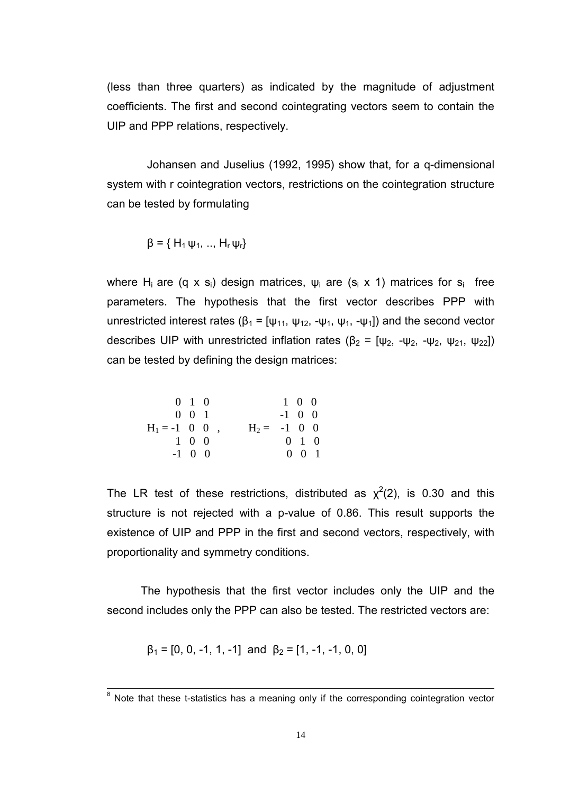(less than three quarters) as indicated by the magnitude of adjustment coefficients. The first and second cointegrating vectors seem to contain the UIP and PPP relations, respectively.

Johansen and Juselius (1992, 1995) show that, for a q-dimensional system with r cointegration vectors, restrictions on the cointegration structure can be tested by formulating

$$
\beta = \{ H_1 \psi_1, ..., H_r \psi_r \}
$$

where H<sub>i</sub> are (q x s<sub>i</sub>) design matrices,  $\psi_i$  are (s<sub>i</sub> x 1) matrices for s<sub>i</sub> free parameters. The hypothesis that the first vector describes PPP with unrestricted interest rates ( $β_1 = [ψ_{11}, ψ_{12}, -ψ_{1}, ψ_{1}, -ψ_{1}]$ ) and the second vector describes UIP with unrestricted inflation rates ( $\beta_2 = [\psi_2, -\psi_2, -\psi_2, \psi_2, \psi_2]$ ) can be tested by defining the design matrices:

$$
\begin{array}{cccc}\n0 & 1 & 0 & & & 1 & 0 & 0 \\
0 & 0 & 1 & & & & -1 & 0 & 0 \\
\text{H}_1 = -1 & 0 & 0 & , & & \text{H}_2 = -1 & 0 & 0 \\
1 & 0 & 0 & & & & 0 & 1 & 0 \\
-1 & 0 & 0 & & & & 0 & 0 & 1\n\end{array}
$$

The LR test of these restrictions, distributed as  $\chi^2(2)$ , is 0.30 and this structure is not rejected with a p-value of 0.86. This result supports the existence of UIP and PPP in the first and second vectors, respectively, with proportionality and symmetry conditions.

The hypothesis that the first vector includes only the UIP and the second includes only the PPP can also be tested. The restricted vectors are:

$$
\beta_1 = [0, 0, -1, 1, -1] \text{ and } \beta_2 = [1, -1, -1, 0, 0]
$$

<sup>&</sup>lt;sup>8</sup><br>Note that these t-statistics has a meaning only if the corresponding cointegration vector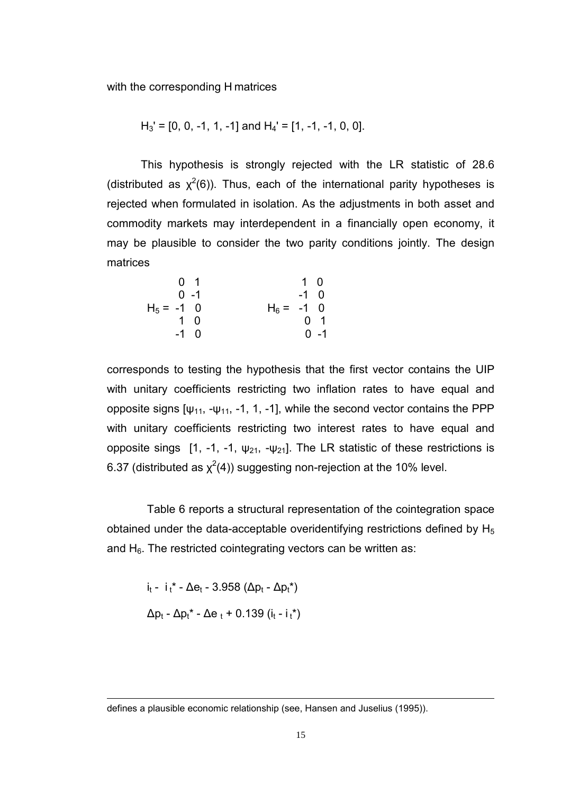with the corresponding H matrices

$$
H_3' = [0, 0, -1, 1, -1]
$$
 and  $H_4' = [1, -1, -1, 0, 0]$ .

This hypothesis is strongly rejected with the LR statistic of 28.6 (distributed as  $\chi^2(6)$ ). Thus, each of the international parity hypotheses is rejected when formulated in isolation. As the adjustments in both asset and commodity markets may interdependent in a financially open economy, it may be plausible to consider the two parity conditions jointly. The design matrices

 0 1 1 0 0 -1 -1 0 H5 = -1 0 H6 = -1 0 1 0 0 1 -1 0 0 -1

corresponds to testing the hypothesis that the first vector contains the UIP with unitary coefficients restricting two inflation rates to have equal and opposite signs  $[\psi_{11}, -\psi_{11}, -1, 1, -1]$ , while the second vector contains the PPP with unitary coefficients restricting two interest rates to have equal and opposite sings [1, -1, -1, ψ<sub>21</sub>, -ψ<sub>21</sub>]. The LR statistic of these restrictions is 6.37 (distributed as  $\chi^2(4)$ ) suggesting non-rejection at the 10% level.

Table 6 reports a structural representation of the cointegration space obtained under the data-acceptable overidentifying restrictions defined by  $H_5$ and  $H_6$ . The restricted cointegrating vectors can be written as:

i<sub>t</sub> - i<sub>t</sub>\* -  $\Delta e_t$  - 3.958 ( $\Delta p_t$  -  $\Delta p_t^*$ )  $Δp_t - Δp_t^* - Δe_t + 0.139 (i_t - i_t^*)$ 

l

defines a plausible economic relationship (see, Hansen and Juselius (1995)).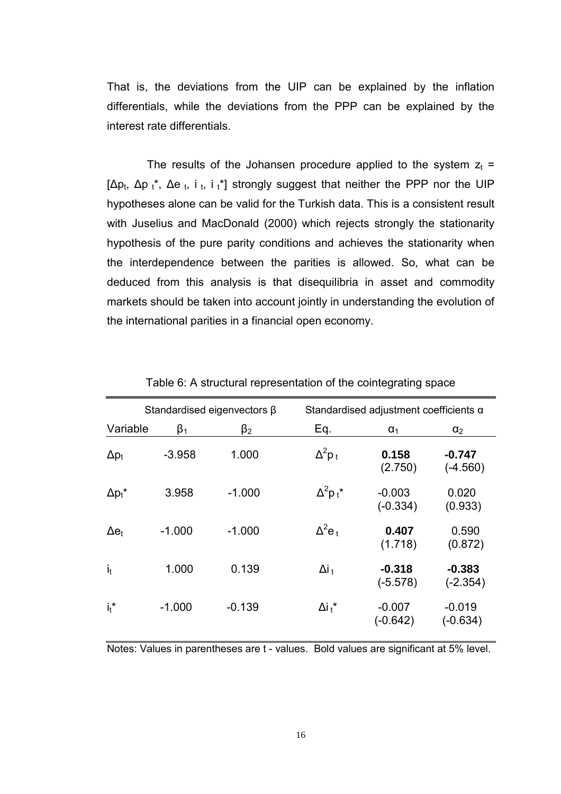That is, the deviations from the UIP can be explained by the inflation differentials, while the deviations from the PPP can be explained by the interest rate differentials.

The results of the Johansen procedure applied to the system  $z_t$  = [ $\Delta p_t$ ,  $\Delta p_t^*$ ,  $\Delta e_t$ , i<sub>t</sub>, i<sub>t</sub>\*] strongly suggest that neither the PPP nor the UIP hypotheses alone can be valid for the Turkish data. This is a consistent result with Juselius and MacDonald (2000) which rejects strongly the stationarity hypothesis of the pure parity conditions and achieves the stationarity when the interdependence between the parities is allowed. So, what can be deduced from this analysis is that disequilibria in asset and commodity markets should be taken into account jointly in understanding the evolution of the international parities in a financial open economy.

| Standardised eigenvectors $\beta$ |           |           | Standardised adjustment coefficients $\alpha$ |                        |                        |
|-----------------------------------|-----------|-----------|-----------------------------------------------|------------------------|------------------------|
| Variable                          | $\beta_1$ | $\beta_2$ | Eq.                                           | $\alpha_1$             | $\alpha_2$             |
| $\Delta p_t$                      | $-3.958$  | 1.000     | $\Delta^2 p_t$                                | 0.158<br>(2.750)       | $-0.747$<br>$(-4.560)$ |
| $\Delta p_t^*$                    | 3.958     | $-1.000$  | $\Delta^2$ p <sub>t</sub> *                   | $-0.003$<br>$(-0.334)$ | 0.020<br>(0.933)       |
| $\Delta e_t$                      | $-1.000$  | $-1.000$  | $\Delta^2$ e <sub>t</sub>                     | 0.407<br>(1.718)       | 0.590<br>(0.872)       |
| $\mathbf{i}_t$                    | 1.000     | 0.139     | $\Delta i_{+}$                                | $-0.318$<br>$(-5.578)$ | $-0.383$<br>$(-2.354)$ |
| $i_t$ *                           | $-1.000$  | $-0.139$  | $\Delta i_+^*$                                | $-0.007$<br>(-0.642)   | $-0.019$<br>$(-0.634)$ |

Table 6: A structural representation of the cointegrating space

Notes: Values in parentheses are t - values. Bold values are significant at 5% level.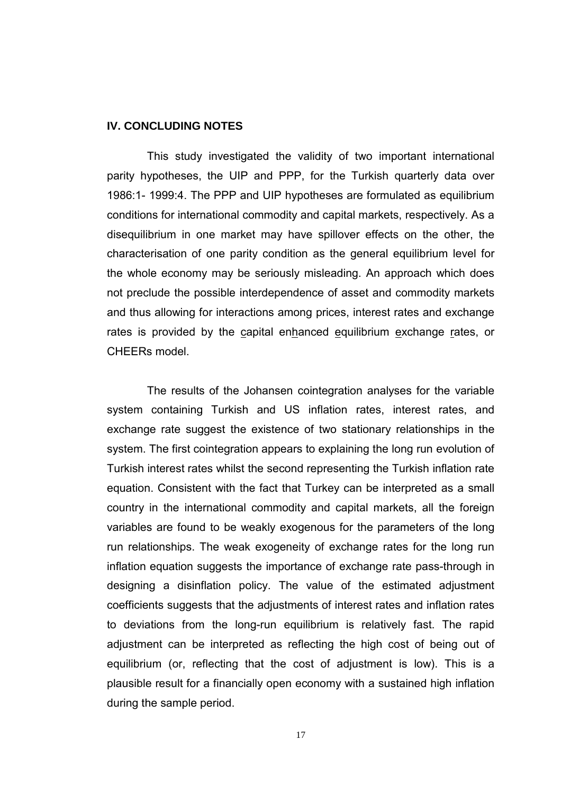#### **IV. CONCLUDING NOTES**

This study investigated the validity of two important international parity hypotheses, the UIP and PPP, for the Turkish quarterly data over 1986:1- 1999:4. The PPP and UIP hypotheses are formulated as equilibrium conditions for international commodity and capital markets, respectively. As a disequilibrium in one market may have spillover effects on the other, the characterisation of one parity condition as the general equilibrium level for the whole economy may be seriously misleading. An approach which does not preclude the possible interdependence of asset and commodity markets and thus allowing for interactions among prices, interest rates and exchange rates is provided by the capital enhanced equilibrium exchange rates, or CHEERs model.

The results of the Johansen cointegration analyses for the variable system containing Turkish and US inflation rates, interest rates, and exchange rate suggest the existence of two stationary relationships in the system. The first cointegration appears to explaining the long run evolution of Turkish interest rates whilst the second representing the Turkish inflation rate equation. Consistent with the fact that Turkey can be interpreted as a small country in the international commodity and capital markets, all the foreign variables are found to be weakly exogenous for the parameters of the long run relationships. The weak exogeneity of exchange rates for the long run inflation equation suggests the importance of exchange rate pass-through in designing a disinflation policy. The value of the estimated adjustment coefficients suggests that the adjustments of interest rates and inflation rates to deviations from the long-run equilibrium is relatively fast. The rapid adjustment can be interpreted as reflecting the high cost of being out of equilibrium (or, reflecting that the cost of adjustment is low). This is a plausible result for a financially open economy with a sustained high inflation during the sample period.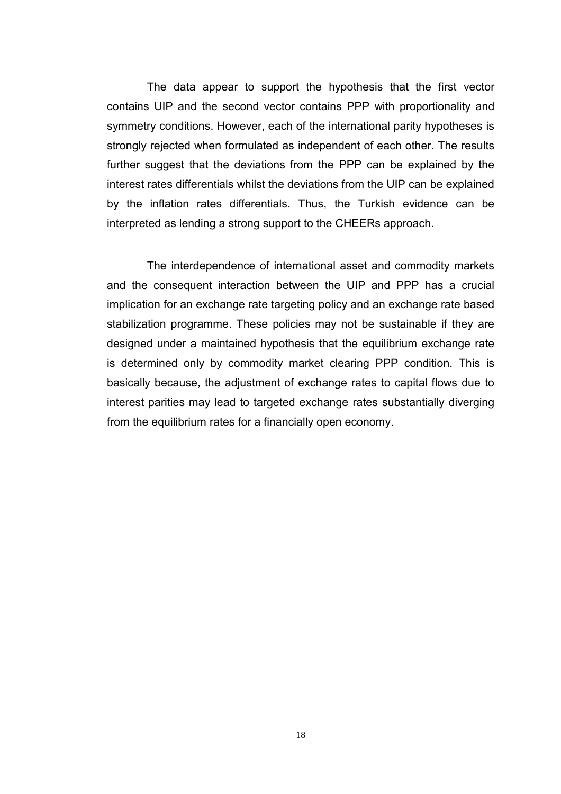The data appear to support the hypothesis that the first vector contains UIP and the second vector contains PPP with proportionality and symmetry conditions. However, each of the international parity hypotheses is strongly rejected when formulated as independent of each other. The results further suggest that the deviations from the PPP can be explained by the interest rates differentials whilst the deviations from the UIP can be explained by the inflation rates differentials. Thus, the Turkish evidence can be interpreted as lending a strong support to the CHEERs approach.

The interdependence of international asset and commodity markets and the consequent interaction between the UIP and PPP has a crucial implication for an exchange rate targeting policy and an exchange rate based stabilization programme. These policies may not be sustainable if they are designed under a maintained hypothesis that the equilibrium exchange rate is determined only by commodity market clearing PPP condition. This is basically because, the adjustment of exchange rates to capital flows due to interest parities may lead to targeted exchange rates substantially diverging from the equilibrium rates for a financially open economy.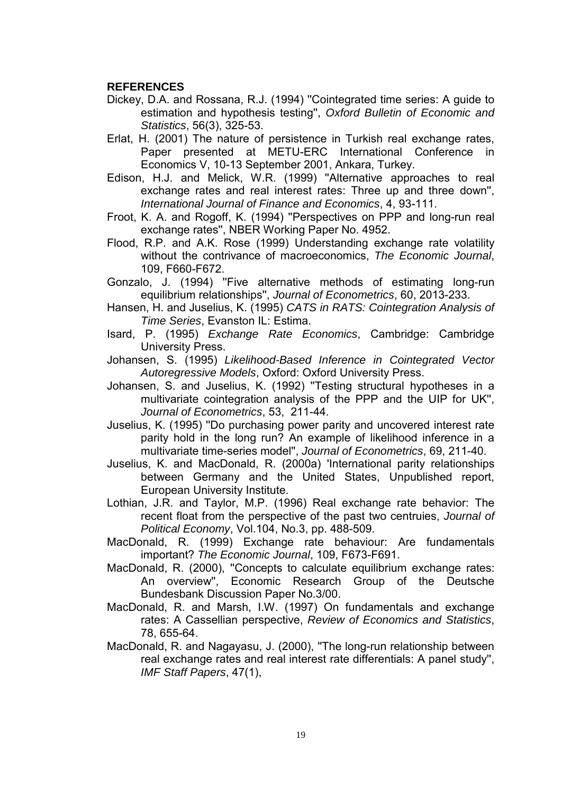## **REFERENCES**

- Dickey, D.A. and Rossana, R.J. (1994) ''Cointegrated time series: A guide to estimation and hypothesis testing'', *Oxford Bulletin of Economic and Statistics*, 56(3), 325-53.
- Erlat, H. (2001) The nature of persistence in Turkish real exchange rates, Paper presented at METU-ERC International Conference in Economics V, 10-13 September 2001, Ankara, Turkey.
- Edison, H.J. and Melick, W.R. (1999) ''Alternative approaches to real exchange rates and real interest rates: Three up and three down'', *International Journal of Finance and Economics*, 4, 93-111.
- Froot, K. A. and Rogoff, K. (1994) ''Perspectives on PPP and long-run real exchange rates'', NBER Working Paper No. 4952.
- Flood, R.P. and A.K. Rose (1999) Understanding exchange rate volatility without the contrivance of macroeconomics, *The Economic Journal*, 109, F660-F672.
- Gonzalo, J. (1994) ''Five alternative methods of estimating long-run equilibrium relationships'', *Journal of Econometrics*, 60, 2013-233.
- Hansen, H. and Juselius, K. (1995) *CATS in RATS: Cointegration Analysis of Time Series*, Evanston IL: Estima.
- Isard, P. (1995) *Exchange Rate Economics*, Cambridge: Cambridge University Press.
- Johansen, S. (1995) *Likelihood-Based Inference in Cointegrated Vector Autoregressive Models*, Oxford: Oxford University Press.
- Johansen, S. and Juselius, K. (1992) ''Testing structural hypotheses in a multivariate cointegration analysis of the PPP and the UIP for UK'', *Journal of Econometrics*, 53, 211-44.
- Juselius, K. (1995) ''Do purchasing power parity and uncovered interest rate parity hold in the long run? An example of likelihood inference in a multivariate time-series model'', *Journal of Econometrics*, 69, 211-40.
- Juselius, K. and MacDonald, R. (2000a) 'International parity relationships between Germany and the United States, Unpublished report, European University Institute.
- Lothian, J.R. and Taylor, M.P. (1996) Real exchange rate behavior: The recent float from the perspective of the past two centruies, *Journal of Political Economy*, Vol.104, No.3, pp. 488-509.
- MacDonald, R. (1999) Exchange rate behaviour: Are fundamentals important? *The Economic Journal*, 109, F673-F691.
- MacDonald, R. (2000), ''Concepts to calculate equilibrium exchange rates: An overview'', Economic Research Group of the Deutsche Bundesbank Discussion Paper No.3/00.
- MacDonald, R. and Marsh, I.W. (1997) On fundamentals and exchange rates: A Cassellian perspective, *Review of Economics and Statistics*, 78, 655-64.
- MacDonald, R. and Nagayasu, J. (2000), ''The long-run relationship between real exchange rates and real interest rate differentials: A panel study'', *IMF Staff Papers*, 47(1),